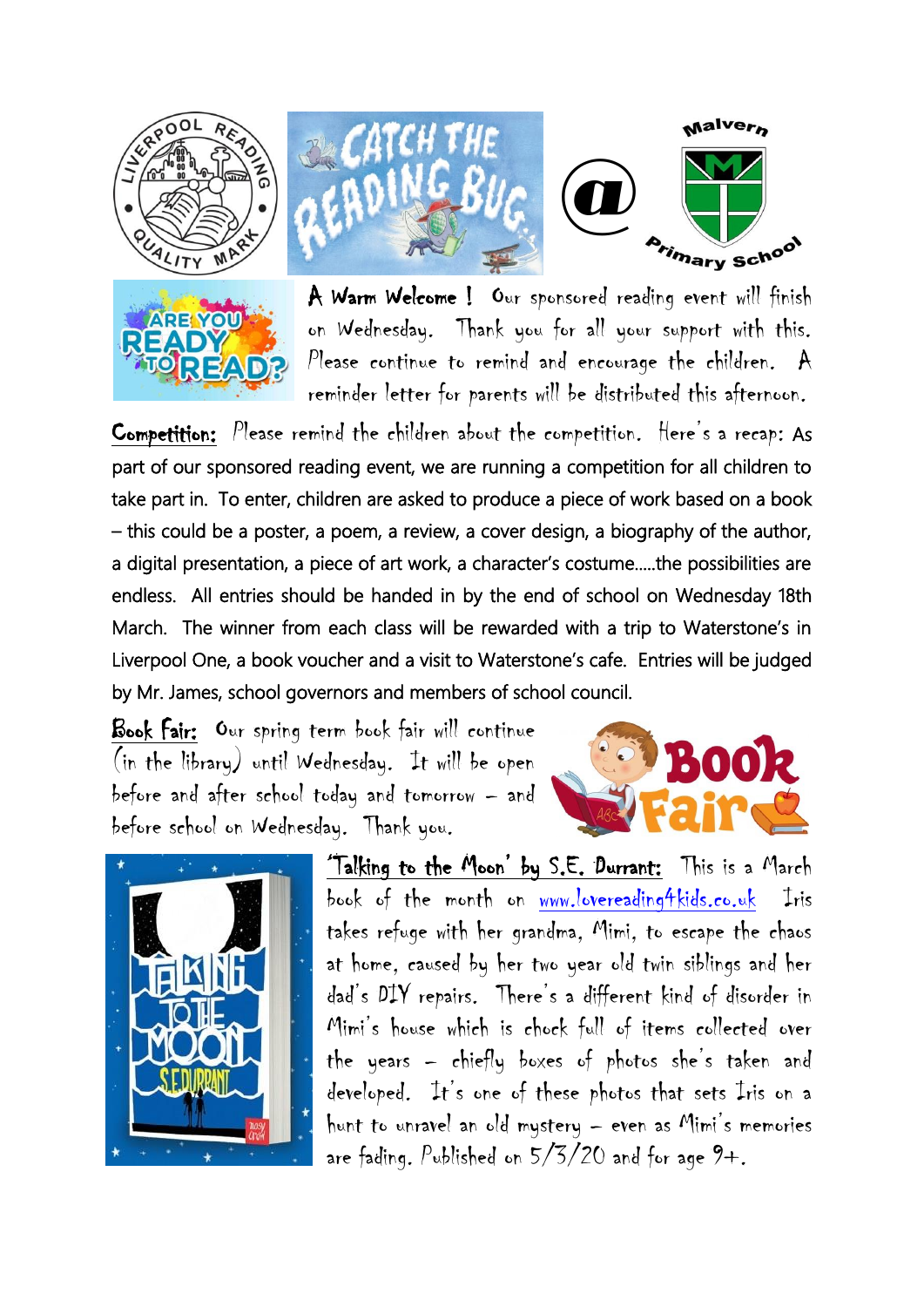



ړ

A Warm Welcome ! Our sponsored reading event will finish on Wednesday. Thank you for all your support with this. Please continue to remind and encourage the children.  $A$ reminder letter for parents will be distributed this afternoon.

Competition: Please remind the children about the competition. Here's a recap: As part of our sponsored reading event, we are running a competition for all children to take part in. To enter, children are asked to produce a piece of work based on a book – this could be a poster, a poem, a review, a cover design, a biography of the author, a digital presentation, a piece of art work, a character's costume.....the possibilities are endless. All entries should be handed in by the end of school on Wednesday 18th March. The winner from each class will be rewarded with a trip to Waterstone's in Liverpool One, a book voucher and a visit to Waterstone's cafe. Entries will be judged by Mr. James, school governors and members of school council.

Book Fair: Our spring term book fair will continue (in the library) until Wednesday. It will be open before and after school today and tomorrow – and before school on Wednesday. Thank you.





'Talking to the Moon' by S.E. Durrant: This is a March book of the month on [www.lovereading4kids.co.uk](http://www.lovereading4kids.co.uk/) Iris takes refuge with her grandma, Mimi, to escape the chaos at home, caused by her two year old twin siblings and her dad's DIY repairs. There's a different kind of disorder in Mimi's house which is chock full of items collected over the years – chiefly boxes of photos she's taken and developed. It's one of these photos that sets Iris on a hunt to unravel an old mystery – even as Mimi's memories are fading. Published on  $5/5/20$  and for age  $9+$ .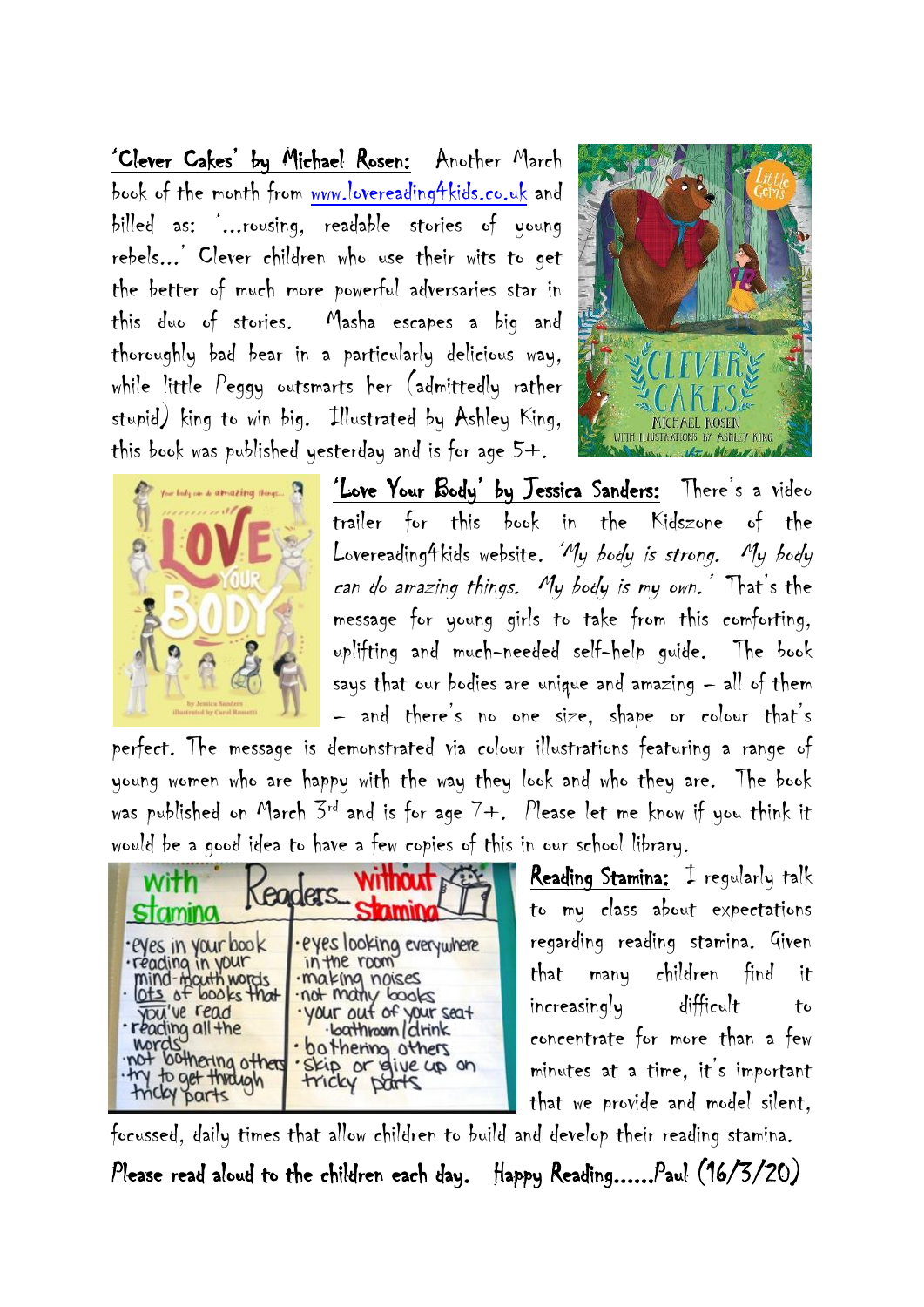'Clever Cakes' by Michael Rosen: Another March book of the month from [www.lovereading4kids.co.uk](http://www.lovereading4kids.co.uk/) and billed as: '...rousing, readable stories of young rebels...' Clever children who use their wits to get the better of much more powerful adversaries star in this duo of stories. Masha escapes a big and thoroughly bad bear in a particularly delicious way, while little Peggy outsmarts her (admittedly rather stupid) king to win big. Illustrated by Ashley King, this book was published yesterday and is for age 5+.





'Love Your Body' by Jessica Sanders: There's a video trailer for this book in the Kidszone of the Lovereading4kids website. 'My body is strong. My body can do amazing things. My body is my own.' That's the message for young girls to take from this comforting, uplifting and much-needed self-help guide. The book says that our bodies are unique and amazing – all of them – and there's no one size, shape or colour that's

perfect. The message is demonstrated via colour illustrations featuring a range of young women who are happy with the way they look and who they are. The book was published on March  $3^{rd}$  and is for age  $7+$ . Please let me know if you think it would be a good idea to have a few copies of this in our school library.

|                                       | Sm                        |
|---------------------------------------|---------------------------|
| ·eyes in your book                    | · eyes looking everywhere |
| ·reading in your                      | in the room               |
| mind-mouth words<br>Ots of books that | ·making noises            |
| you've read                           | not many books            |
| · reading all the                     | · your out of your seat   |
| <b>Mords</b>                          | ·loathroam/drink          |
| not bothering others                  | · bothering others        |
| · try to get through                  | Skip or give up on        |

Reading Stamina: I regularly talk to my class about expectations regarding reading stamina. Given that many children find it increasingly difficult to concentrate for more than a few minutes at a time, it's important that we provide and model silent,

focussed, daily times that allow children to build and develop their reading stamina.

Please read aloud to the children each day. Happy Reading......Paul (16/3/20)